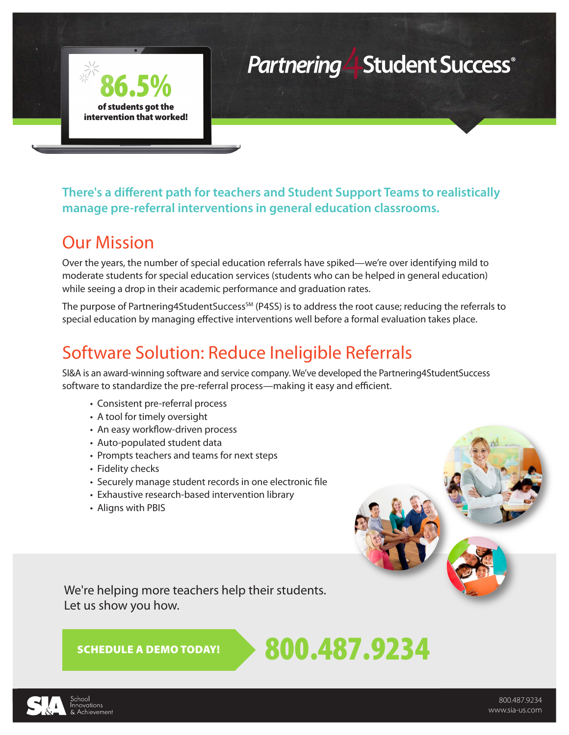# **Partnering Student Success**®

**There's a different path for teachers and Student Support Teams to realistically manage pre-referral interventions in general education classrooms.**

#### Our Mission

86.5%

of students got the intervention that worked!

Over the years, the number of special education referrals have spiked—we're over identifying mild to moderate students for special education services (students who can be helped in general education) while seeing a drop in their academic performance and graduation rates.

The purpose of Partnering4StudentSuccess<sup>SM</sup> (P4SS) is to address the root cause; reducing the referrals to special education by managing effective interventions well before a formal evaluation takes place.

### Software Solution: Reduce Ineligible Referrals

SI&A is an award-winning software and service company. We've developed the Partnering4StudentSuccess software to standardize the pre-referral process—making it easy and efficient.

- Consistent pre-referral process
- A tool for timely oversight
- An easy workflow-driven process
- Auto-populated student data
- Prompts teachers and teams for next steps
- Fidelity checks
- Securely manage student records in one electronic file
- Exhaustive research-based intervention library
- Aligns with PBIS

We're helping more teachers help their students. Let us show you how.

SCHEDULE A DEMOTODAY!  $\rightarrow 800.487.9234$